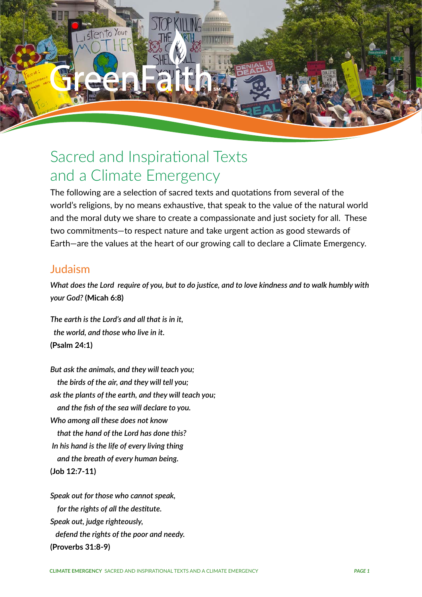

# Sacred and Inspirational Texts and a Climate Emergency

The following are a selection of sacred texts and quotations from several of the world's religions, by no means exhaustive, that speak to the value of the natural world and the moral duty we share to create a compassionate and just society for all. These two commitments—to respect nature and take urgent action as good stewards of Earth—are the values at the heart of our growing call to declare a Climate Emergency.

### Judaism

*What does the Lord require of you, but to do justice, and to love kindness and to walk humbly with your God?* **(Micah 6:8)**

*The earth is the Lord's and all that is in it, the world, and those who live in it.*  **(Psalm 24:1)**

*But ask the animals, and they will teach you; the birds of the air, and they will tell you; ask the plants of the earth, and they will teach you; and the fish of the sea will declare to you. Who among all these does not know that the hand of the Lord has done this? In his hand is the life of every living thing and the breath of every human being.* **(Job 12:7-11)**

*Speak out for those who cannot speak, for the rights of all the destitute. Speak out, judge righteously, defend the rights of the poor and needy.*  **(Proverbs 31:8-9)**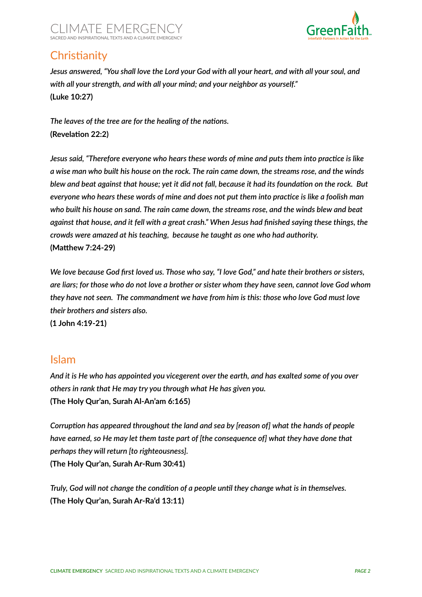



# **Christianity**

*Jesus answered, "You shall love the Lord your God with all your heart, and with all your soul, and with all your strength, and with all your mind; and your neighbor as yourself."*  **(Luke 10:27)**

*The leaves of the tree are for the healing of the nations.*  **(Revelation 22:2)**

*Jesus said, "Therefore everyone who hears these words of mine and puts them into practice is like a wise man who built his house on the rock. The rain came down, the streams rose, and the winds blew and beat against that house; yet it did not fall, because it had its foundation on the rock. But everyone who hears these words of mine and does not put them into practice is like a foolish man who built his house on sand. The rain came down, the streams rose, and the winds blew and beat against that house, and it fell with a great crash." When Jesus had finished saying these things, the crowds were amazed at his teaching, because he taught as one who had authority.*  **(Matthew 7:24-29)**

*We love because God first loved us. Those who say, "I love God," and hate their brothers or sisters, are liars; for those who do not love a brother or sister whom they have seen, cannot love God whom they have not seen. The commandment we have from him is this: those who love God must love their brothers and sisters also.* 

**(1 John 4:19-21)**

#### Islam

*And it is He who has appointed you vicegerent over the earth, and has exalted some of you over others in rank that He may try you through what He has given you.*  **(The Holy Qur'an, Surah Al-An'am 6:165)** 

*Corruption has appeared throughout the land and sea by [reason of] what the hands of people have earned, so He may let them taste part of [the consequence of] what they have done that perhaps they will return [to righteousness].*  **(The Holy Qur'an, Surah Ar-Rum 30:41)**

*Truly, God will not change the condition of a people until they change what is in themselves.*  **(The Holy Qur'an, Surah Ar-Ra'd 13:11)**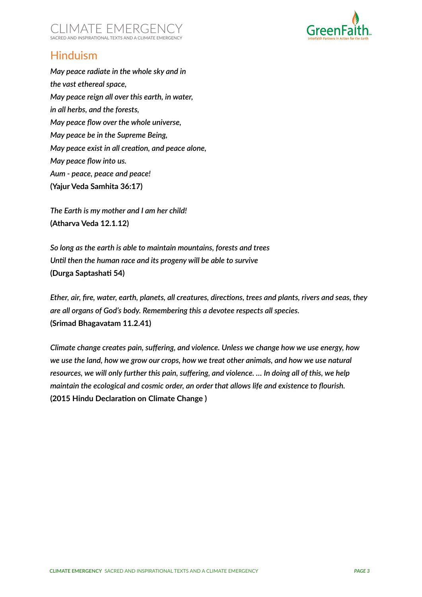



## Hinduism

*May peace radiate in the whole sky and in the vast ethereal space, May peace reign all over this earth, in water, in all herbs, and the forests, May peace flow over the whole universe, May peace be in the Supreme Being, May peace exist in all creation, and peace alone, May peace flow into us. Aum - peace, peace and peace!* **(Yajur Veda Samhita 36:17)** 

*The Earth is my mother and I am her child!* **(Atharva Veda 12.1.12)**

*So long as the earth is able to maintain mountains, forests and trees Until then the human race and its progeny will be able to survive* **(Durga Saptashati 54)**

*Ether, air, fire, water, earth, planets, all creatures, directions, trees and plants, rivers and seas, they are all organs of God's body. Remembering this a devotee respects all species.*  **(Srimad Bhagavatam 11.2.41)**

*Climate change creates pain, suffering, and violence. Unless we change how we use energy, how we use the land, how we grow our crops, how we treat other animals, and how we use natural resources, we will only further this pain, suffering, and violence. … In doing all of this, we help maintain the ecological and cosmic order, an order that allows life and existence to flourish.*  **(2015 Hindu Declaration on Climate Change )**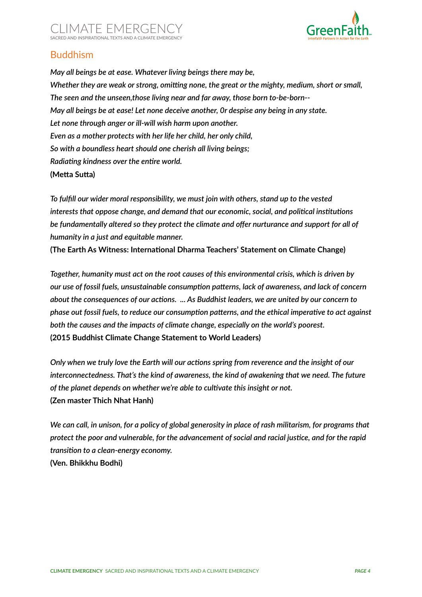



#### Buddhism

*May all beings be at ease. Whatever living beings there may be, Whether they are weak or strong, omitting none, the great or the mighty, medium, short or small, The seen and the unseen,those living near and far away, those born to-be-born-- May all beings be at ease! Let none deceive another, 0r despise any being in any state. Let none through anger or ill-will wish harm upon another. Even as a mother protects with her life her child, her only child, So with a boundless heart should one cherish all living beings; Radiating kindness over the entire world.*  **(Metta Sutta)**

*To fulfill our wider moral responsibility, we must join with others, stand up to the vested interests that oppose change, and demand that our economic, social, and political institutions be fundamentally altered so they protect the climate and offer nurturance and support for all of humanity in a just and equitable manner.* 

**(The Earth As Witness: International Dharma Teachers' Statement on Climate Change)**

*Together, humanity must act on the root causes of this environmental crisis, which is driven by our use of fossil fuels, unsustainable consumption patterns, lack of awareness, and lack of concern about the consequences of our actions. ... As Buddhist leaders, we are united by our concern to phase out fossil fuels, to reduce our consumption patterns, and the ethical imperative to act against both the causes and the impacts of climate change, especially on the world's poorest.*  **(2015 Buddhist Climate Change Statement to World Leaders)**

*Only when we truly love the Earth will our actions spring from reverence and the insight of our interconnectedness. That's the kind of awareness, the kind of awakening that we need. The future of the planet depends on whether we're able to cultivate this insight or not.*  **(Zen master Thich Nhat Hanh)**

*We can call, in unison, for a policy of global generosity in place of rash militarism, for programs that protect the poor and vulnerable, for the advancement of social and racial justice, and for the rapid transition to a clean-energy economy.*  **(Ven. Bhikkhu Bodhi)**